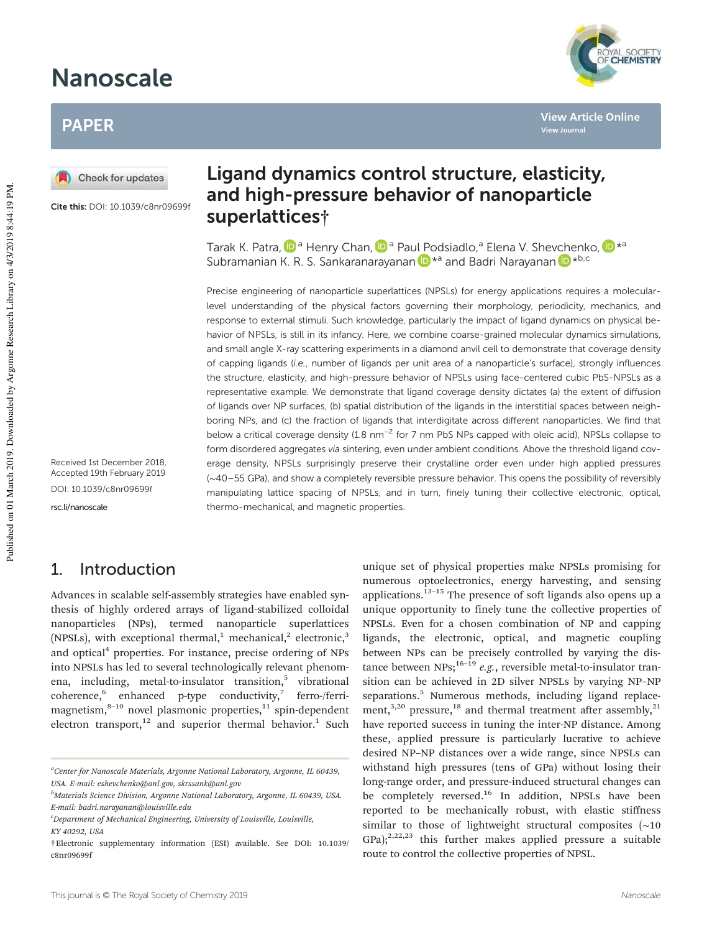# Nanoscale

# PAPER

Check for updates

Cite this: DOI: 10.1039/c8nr09699f

Received 1st December 2018, Accepted 19th February 2019 DOI: 10.1039/c8nr09699f rsc.li/nanoscale

# 1. Introduction

Advances in scalable self-assembly strategies have enabled synthesis of highly ordered arrays of ligand-stabilized colloidal nanoparticles (NPs), termed nanoparticle superlattices (NPSLs), with exceptional thermal, $1$  mechanical, $2$  electronic, $3$ and optical<sup>4</sup> properties. For instance, precise ordering of NPs into NPSLs has led to several technologically relevant phenomena, including, metal-to-insulator transition,<sup>5</sup> vibrational coherence,<sup>6</sup> enhanced p-type conductivity,<sup>7</sup> ferro-/ferrimagnetism, $8-10$  novel plasmonic properties, $11$  spin-dependent electron transport, $12$  and superior thermal behavior.<sup>1</sup> Such

# Ligand dynamics control structure, elasticity, and high-pressure behavior of nanoparticle superlattices†

Tarak K. Patra, D<sup>a</sup> Henry Chan, D<sup>a</sup> Paul Podsiadlo,<sup>a</sup> Elena V. Shevchenko, D\*ª Subramanian K. R. S. Sankaranarayanan D<sup>\*a</sup> and Badri Narayanan D<sup>\*b,c</sup>

Precise engineering of nanoparticle superlattices (NPSLs) for energy applications requires a molecularlevel understanding of the physical factors governing their morphology, periodicity, mechanics, and response to external stimuli. Such knowledge, particularly the impact of ligand dynamics on physical behavior of NPSLs, is still in its infancy. Here, we combine coarse-grained molecular dynamics simulations, and small angle X-ray scattering experiments in a diamond anvil cell to demonstrate that coverage density of capping ligands (i.e., number of ligands per unit area of a nanoparticle's surface), strongly influences the structure, elasticity, and high-pressure behavior of NPSLs using face-centered cubic PbS-NPSLs as a representative example. We demonstrate that ligand coverage density dictates (a) the extent of diffusion of ligands over NP surfaces, (b) spatial distribution of the ligands in the interstitial spaces between neighboring NPs, and (c) the fraction of ligands that interdigitate across different nanoparticles. We find that below a critical coverage density (1.8 nm<sup>-2</sup> for 7 nm PbS NPs capped with oleic acid), NPSLs collapse to form disordered aggregates via sintering, even under ambient conditions. Above the threshold ligand coverage density, NPSLs surprisingly preserve their crystalline order even under high applied pressures (∼40–55 GPa), and show a completely reversible pressure behavior. This opens the possibility of reversibly manipulating lattice spacing of NPSLs, and in turn, finely tuning their collective electronic, optical, thermo-mechanical, and magnetic properties.

> unique set of physical properties make NPSLs promising for numerous optoelectronics, energy harvesting, and sensing applications.13–<sup>15</sup> The presence of soft ligands also opens up a unique opportunity to finely tune the collective properties of NPSLs. Even for a chosen combination of NP and capping ligands, the electronic, optical, and magnetic coupling between NPs can be precisely controlled by varying the distance between  $NPs$ ;<sup>16–19</sup> *e.g.*, reversible metal-to-insulator transition can be achieved in 2D silver NPSLs by varying NP–NP separations.<sup>5</sup> Numerous methods, including ligand replacement, $3,20$  pressure, $18$  and thermal treatment after assembly, $21$ have reported success in tuning the inter-NP distance. Among these, applied pressure is particularly lucrative to achieve desired NP–NP distances over a wide range, since NPSLs can withstand high pressures (tens of GPa) without losing their long-range order, and pressure-induced structural changes can be completely reversed.<sup>16</sup> In addition, NPSLs have been reported to be mechanically robust, with elastic stiffness similar to those of lightweight structural composites (∼10  $GPa$ );<sup>2,22,23</sup> this further makes applied pressure a suitable route to control the collective properties of NPSL.



**View Article Online**

**View Journal**

*<sup>a</sup>Center for Nanoscale Materials, Argonne National Laboratory, Argonne, IL 60439, USA. E-mail: eshevchenko@anl.gov, skrssank@anl.gov*

*<sup>b</sup>Materials Science Division, Argonne National Laboratory, Argonne, IL 60439, USA. E-mail: badri.narayanan@louisville.edu*

*<sup>c</sup>Department of Mechanical Engineering, University of Louisville, Louisville, KY 40292, USA*

<sup>†</sup>Electronic supplementary information (ESI) available. See DOI: 10.1039/ c8nr09699f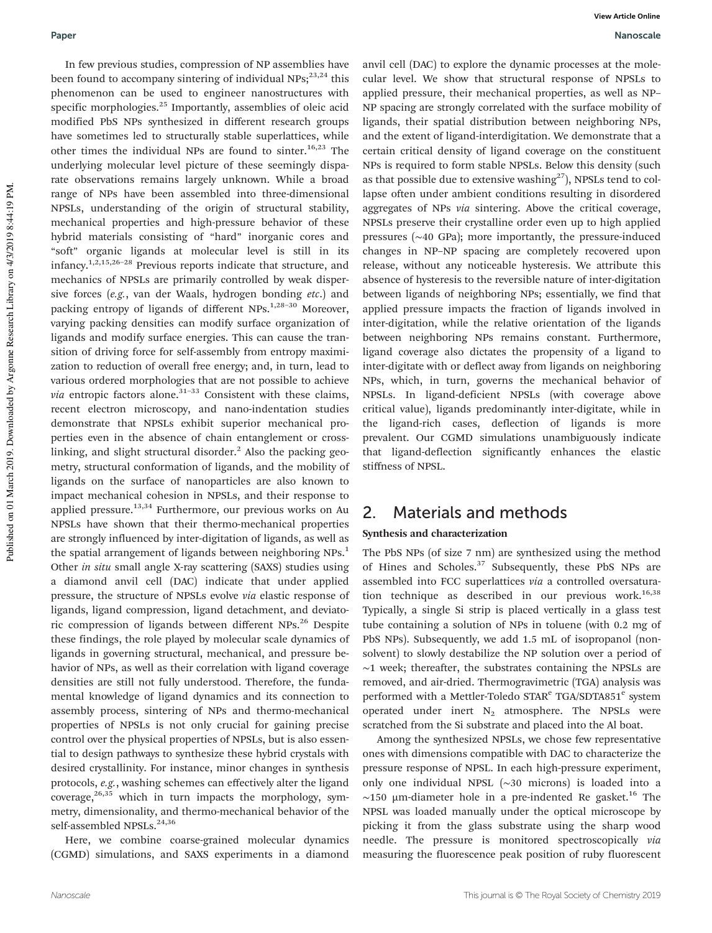In few previous studies, compression of NP assemblies have been found to accompany sintering of individual  $NPs;^{23,24}$  this phenomenon can be used to engineer nanostructures with specific morphologies.<sup>25</sup> Importantly, assemblies of oleic acid modified PbS NPs synthesized in different research groups have sometimes led to structurally stable superlattices, while other times the individual NPs are found to sinter.<sup>16,23</sup> The underlying molecular level picture of these seemingly disparate observations remains largely unknown. While a broad range of NPs have been assembled into three-dimensional NPSLs, understanding of the origin of structural stability, mechanical properties and high-pressure behavior of these hybrid materials consisting of "hard" inorganic cores and "soft" organic ligands at molecular level is still in its infancy.1,2,15,26–<sup>28</sup> Previous reports indicate that structure, and mechanics of NPSLs are primarily controlled by weak dispersive forces (*e.g.*, van der Waals, hydrogen bonding *etc*.) and packing entropy of ligands of different NPs.<sup>1,28-30</sup> Moreover, varying packing densities can modify surface organization of ligands and modify surface energies. This can cause the transition of driving force for self-assembly from entropy maximization to reduction of overall free energy; and, in turn, lead to various ordered morphologies that are not possible to achieve *via* entropic factors alone. $31-33$  Consistent with these claims, recent electron microscopy, and nano-indentation studies demonstrate that NPSLs exhibit superior mechanical properties even in the absence of chain entanglement or crosslinking, and slight structural disorder.<sup>2</sup> Also the packing geometry, structural conformation of ligands, and the mobility of ligands on the surface of nanoparticles are also known to impact mechanical cohesion in NPSLs, and their response to applied pressure.<sup>13,34</sup> Furthermore, our previous works on Au NPSLs have shown that their thermo-mechanical properties are strongly influenced by inter-digitation of ligands, as well as the spatial arrangement of ligands between neighboring NPs.<sup>1</sup> Other *in situ* small angle X-ray scattering (SAXS) studies using a diamond anvil cell (DAC) indicate that under applied pressure, the structure of NPSLs evolve *via* elastic response of ligands, ligand compression, ligand detachment, and deviatoric compression of ligands between different NPs.<sup>26</sup> Despite these findings, the role played by molecular scale dynamics of ligands in governing structural, mechanical, and pressure behavior of NPs, as well as their correlation with ligand coverage densities are still not fully understood. Therefore, the fundamental knowledge of ligand dynamics and its connection to assembly process, sintering of NPs and thermo-mechanical properties of NPSLs is not only crucial for gaining precise control over the physical properties of NPSLs, but is also essential to design pathways to synthesize these hybrid crystals with desired crystallinity. For instance, minor changes in synthesis protocols, *e.g.*, washing schemes can effectively alter the ligand coverage, $26,35$  which in turn impacts the morphology, symmetry, dimensionality, and thermo-mechanical behavior of the self-assembled NPSLs.<sup>24,36</sup>

Here, we combine coarse-grained molecular dynamics (CGMD) simulations, and SAXS experiments in a diamond

anvil cell (DAC) to explore the dynamic processes at the molecular level. We show that structural response of NPSLs to applied pressure, their mechanical properties, as well as NP– NP spacing are strongly correlated with the surface mobility of ligands, their spatial distribution between neighboring NPs, and the extent of ligand-interdigitation. We demonstrate that a certain critical density of ligand coverage on the constituent NPs is required to form stable NPSLs. Below this density (such as that possible due to extensive washing $^{27}$ ), NPSLs tend to collapse often under ambient conditions resulting in disordered aggregates of NPs *via* sintering. Above the critical coverage, NPSLs preserve their crystalline order even up to high applied pressures (∼40 GPa); more importantly, the pressure-induced changes in NP–NP spacing are completely recovered upon release, without any noticeable hysteresis. We attribute this absence of hysteresis to the reversible nature of inter-digitation between ligands of neighboring NPs; essentially, we find that applied pressure impacts the fraction of ligands involved in inter-digitation, while the relative orientation of the ligands between neighboring NPs remains constant. Furthermore, ligand coverage also dictates the propensity of a ligand to inter-digitate with or deflect away from ligands on neighboring NPs, which, in turn, governs the mechanical behavior of NPSLs. In ligand-deficient NPSLs (with coverage above critical value), ligands predominantly inter-digitate, while in the ligand-rich cases, deflection of ligands is more prevalent. Our CGMD simulations unambiguously indicate that ligand-deflection significantly enhances the elastic stiffness of NPSL.

### 2. Materials and methods

#### Synthesis and characterization

The PbS NPs (of size 7 nm) are synthesized using the method of Hines and Scholes.<sup>37</sup> Subsequently, these PbS NPs are assembled into FCC superlattices *via* a controlled oversaturation technique as described in our previous work.<sup>16,38</sup> Typically, a single Si strip is placed vertically in a glass test tube containing a solution of NPs in toluene (with 0.2 mg of PbS NPs). Subsequently, we add 1.5 mL of isopropanol (nonsolvent) to slowly destabilize the NP solution over a period of ∼1 week; thereafter, the substrates containing the NPSLs are removed, and air-dried. Thermogravimetric (TGA) analysis was performed with a Mettler-Toledo STAR<sup>e</sup> TGA/SDTA851<sup>e</sup> system operated under inert  $N_2$  atmosphere. The NPSLs were scratched from the Si substrate and placed into the Al boat.

Among the synthesized NPSLs, we chose few representative ones with dimensions compatible with DAC to characterize the pressure response of NPSL. In each high-pressure experiment, only one individual NPSL (∼30 microns) is loaded into a ∼150 µm-diameter hole in a pre-indented Re gasket.<sup>16</sup> The NPSL was loaded manually under the optical microscope by picking it from the glass substrate using the sharp wood needle. The pressure is monitored spectroscopically *via* measuring the fluorescence peak position of ruby fluorescent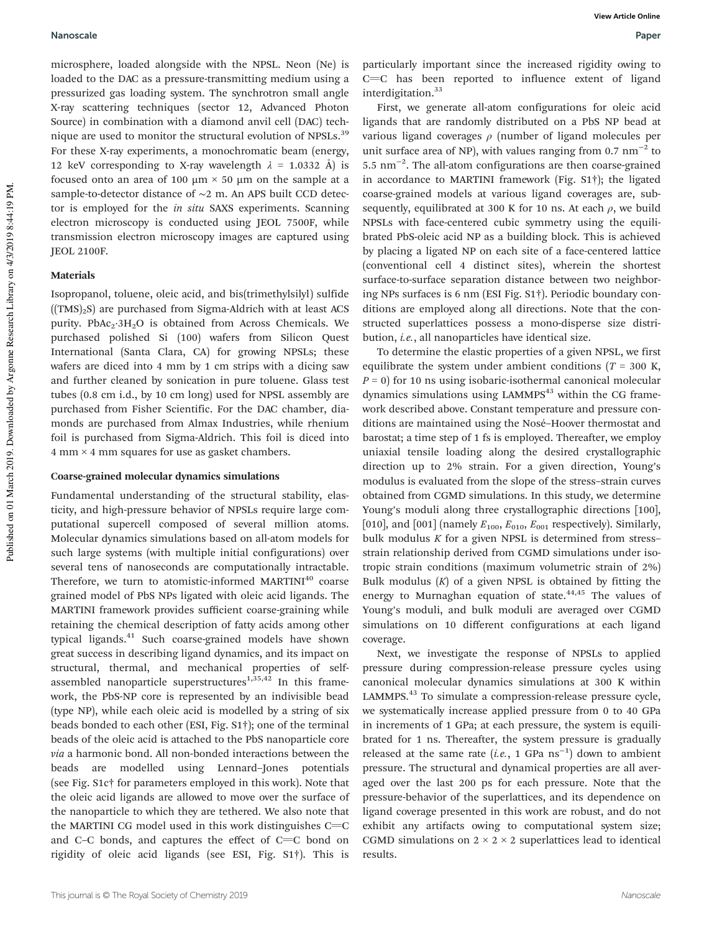microsphere, loaded alongside with the NPSL. Neon (Ne) is loaded to the DAC as a pressure-transmitting medium using a pressurized gas loading system. The synchrotron small angle X-ray scattering techniques (sector 12, Advanced Photon Source) in combination with a diamond anvil cell (DAC) technique are used to monitor the structural evolution of NPSLs.<sup>39</sup> For these X-ray experiments, a monochromatic beam (energy, 12 keV corresponding to X-ray wavelength  $\lambda = 1.0332$  Å) is focused onto an area of 100  $\mu$ m  $\times$  50  $\mu$ m on the sample at a sample-to-detector distance of ∼2 m. An APS built CCD detector is employed for the *in situ* SAXS experiments. Scanning electron microscopy is conducted using JEOL 7500F, while transmission electron microscopy images are captured using JEOL 2100F.

### Materials

Isopropanol, toluene, oleic acid, and bis(trimethylsilyl) sulfide  $((TMS)_2S)$  are purchased from Sigma-Aldrich with at least ACS purity. PbAc<sub>2</sub>·3H<sub>2</sub>O is obtained from Across Chemicals. We purchased polished Si (100) wafers from Silicon Quest International (Santa Clara, CA) for growing NPSLs; these wafers are diced into 4 mm by 1 cm strips with a dicing saw and further cleaned by sonication in pure toluene. Glass test tubes (0.8 cm i.d., by 10 cm long) used for NPSL assembly are purchased from Fisher Scientific. For the DAC chamber, diamonds are purchased from Almax Industries, while rhenium foil is purchased from Sigma-Aldrich. This foil is diced into  $4 \text{ mm} \times 4 \text{ mm}$  squares for use as gasket chambers.

#### Coarse-grained molecular dynamics simulations

Fundamental understanding of the structural stability, elasticity, and high-pressure behavior of NPSLs require large computational supercell composed of several million atoms. Molecular dynamics simulations based on all-atom models for such large systems (with multiple initial configurations) over several tens of nanoseconds are computationally intractable. Therefore, we turn to atomistic-informed MARTINI<sup>40</sup> coarse grained model of PbS NPs ligated with oleic acid ligands. The MARTINI framework provides sufficient coarse-graining while retaining the chemical description of fatty acids among other typical ligands.<sup>41</sup> Such coarse-grained models have shown great success in describing ligand dynamics, and its impact on structural, thermal, and mechanical properties of selfassembled nanoparticle superstructures<sup>1,35,42</sup> In this framework, the PbS-NP core is represented by an indivisible bead (type NP), while each oleic acid is modelled by a string of six beads bonded to each other (ESI, Fig. S1†); one of the terminal beads of the oleic acid is attached to the PbS nanoparticle core *via* a harmonic bond. All non-bonded interactions between the beads are modelled using Lennard–Jones potentials (see Fig. S1c† for parameters employed in this work). Note that the oleic acid ligands are allowed to move over the surface of the nanoparticle to which they are tethered. We also note that the MARTINI CG model used in this work distinguishes  $C=C$ and C–C bonds, and captures the effect of  $C=C$  bond on rigidity of oleic acid ligands (see ESI, Fig. S1†). This is

particularly important since the increased rigidity owing to  $C=C$  has been reported to influence extent of ligand interdigitation.<sup>33</sup>

First, we generate all-atom configurations for oleic acid ligands that are randomly distributed on a PbS NP bead at various ligand coverages  $\rho$  (number of ligand molecules per unit surface area of NP), with values ranging from 0.7  $\text{nm}^{-2}$  to 5.5 nm−<sup>2</sup> . The all-atom configurations are then coarse-grained in accordance to MARTINI framework (Fig. S1†); the ligated coarse-grained models at various ligand coverages are, subsequently, equilibrated at 300 K for 10 ns. At each  $\rho$ , we build NPSLs with face-centered cubic symmetry using the equilibrated PbS-oleic acid NP as a building block. This is achieved by placing a ligated NP on each site of a face-centered lattice (conventional cell 4 distinct sites), wherein the shortest surface-to-surface separation distance between two neighboring NPs surfaces is 6 nm (ESI Fig. S1†). Periodic boundary conditions are employed along all directions. Note that the constructed superlattices possess a mono-disperse size distribution, *i.e.*, all nanoparticles have identical size.

To determine the elastic properties of a given NPSL, we first equilibrate the system under ambient conditions ( $T = 300$  K, *P* = 0) for 10 ns using isobaric-isothermal canonical molecular dynamics simulations using LAMMPS<sup>43</sup> within the CG framework described above. Constant temperature and pressure conditions are maintained using the Nosé–Hoover thermostat and barostat; a time step of 1 fs is employed. Thereafter, we employ uniaxial tensile loading along the desired crystallographic direction up to 2% strain. For a given direction, Young's modulus is evaluated from the slope of the stress–strain curves obtained from CGMD simulations. In this study, we determine Young's moduli along three crystallographic directions [100], [010], and [001] (namely  $E_{100}$ ,  $E_{010}$ ,  $E_{001}$  respectively). Similarly, bulk modulus *K* for a given NPSL is determined from stress– strain relationship derived from CGMD simulations under isotropic strain conditions (maximum volumetric strain of 2%) Bulk modulus  $(K)$  of a given NPSL is obtained by fitting the energy to Murnaghan equation of state. $44,45$  The values of Young's moduli, and bulk moduli are averaged over CGMD simulations on 10 different configurations at each ligand coverage.

Next, we investigate the response of NPSLs to applied pressure during compression-release pressure cycles using canonical molecular dynamics simulations at 300 K within LAMMPS.<sup>43</sup> To simulate a compression-release pressure cycle, we systematically increase applied pressure from 0 to 40 GPa in increments of 1 GPa; at each pressure, the system is equilibrated for 1 ns. Thereafter, the system pressure is gradually released at the same rate  $(i.e., 1 \text{ GPa ns}^{-1})$  down to ambient pressure. The structural and dynamical properties are all averaged over the last 200 ps for each pressure. Note that the pressure-behavior of the superlattices, and its dependence on ligand coverage presented in this work are robust, and do not exhibit any artifacts owing to computational system size; CGMD simulations on  $2 \times 2 \times 2$  superlattices lead to identical results.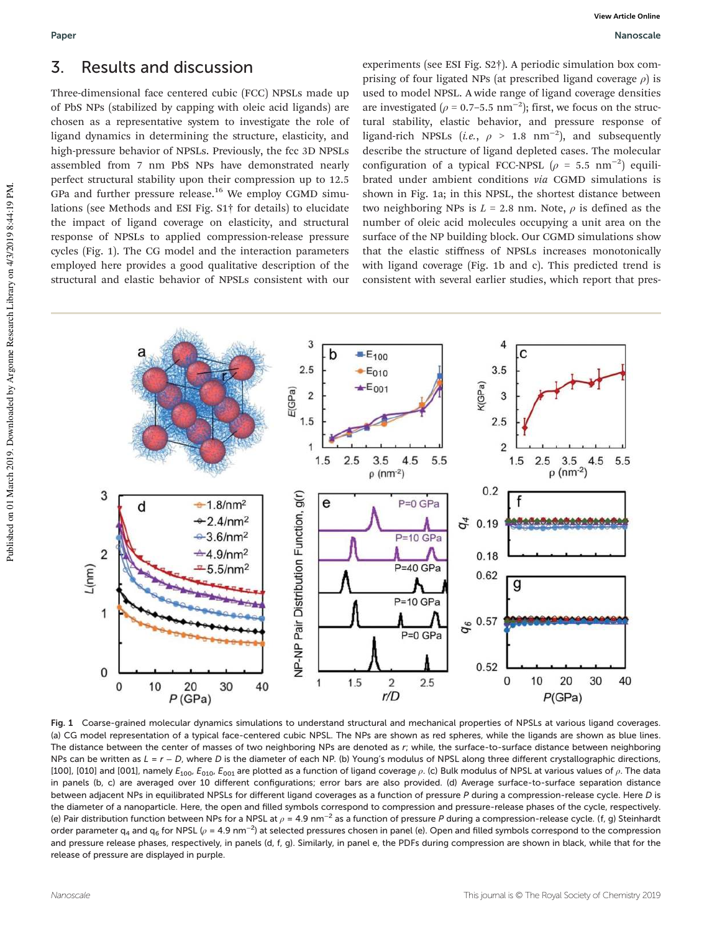# 3. Results and discussion

Three-dimensional face centered cubic (FCC) NPSLs made up of PbS NPs (stabilized by capping with oleic acid ligands) are chosen as a representative system to investigate the role of ligand dynamics in determining the structure, elasticity, and high-pressure behavior of NPSLs. Previously, the fcc 3D NPSLs assembled from 7 nm PbS NPs have demonstrated nearly perfect structural stability upon their compression up to 12.5 GPa and further pressure release.<sup>16</sup> We employ CGMD simulations (see Methods and ESI Fig. S1† for details) to elucidate the impact of ligand coverage on elasticity, and structural response of NPSLs to applied compression-release pressure cycles (Fig. 1). The CG model and the interaction parameters employed here provides a good qualitative description of the structural and elastic behavior of NPSLs consistent with our

experiments (see ESI Fig. S2†). A periodic simulation box comprising of four ligated NPs (at prescribed ligand coverage  $\rho$ ) is used to model NPSL. A wide range of ligand coverage densities are investigated ( $\rho$  = 0.7–5.5 nm<sup>-2</sup>); first, we focus on the structural stability, elastic behavior, and pressure response of ligand-rich NPSLs (*i.e.*,  $\rho > 1.8$  nm<sup>-2</sup>), and subsequently describe the structure of ligand depleted cases. The molecular configuration of a typical FCC-NPSL  $(\rho = 5.5 \text{ nm}^{-2})$  equilibrated under ambient conditions *via* CGMD simulations is shown in Fig. 1a; in this NPSL, the shortest distance between two neighboring NPs is  $L = 2.8$  nm. Note,  $\rho$  is defined as the number of oleic acid molecules occupying a unit area on the surface of the NP building block. Our CGMD simulations show that the elastic stiffness of NPSLs increases monotonically with ligand coverage (Fig. 1b and c). This predicted trend is consistent with several earlier studies, which report that pres-



Fig. 1 Coarse-grained molecular dynamics simulations to understand structural and mechanical properties of NPSLs at various ligand coverages. (a) CG model representation of a typical face-centered cubic NPSL. The NPs are shown as red spheres, while the ligands are shown as blue lines. The distance between the center of masses of two neighboring NPs are denoted as r; while, the surface-to-surface distance between neighboring NPs can be written as  $L = r - D$ , where D is the diameter of each NP. (b) Young's modulus of NPSL along three different crystallographic directions, [100], [010] and [001], namely  $E_{100}$ ,  $E_{010}$ ,  $E_{001}$  are plotted as a function of ligand coverage  $\rho$ . (c) Bulk modulus of NPSL at various values of  $\rho$ . The data in panels (b, c) are averaged over 10 different configurations; error bars are also provided. (d) Average surface-to-surface separation distance between adjacent NPs in equilibrated NPSLs for different ligand coverages as a function of pressure P during a compression-release cycle. Here D is the diameter of a nanoparticle. Here, the open and filled symbols correspond to compression and pressure-release phases of the cycle, respectively. (e) Pair distribution function between NPs for a NPSL at  $\rho$  = 4.9 nm<sup>−2</sup> as a function of pressure P during a compression-release cycle. (f, g) Steinhardt order parameter q<sub>4</sub> and q<sub>6</sub> for NPSL ( $\rho$  = 4.9 nm<sup>−2</sup>) at selected pressures chosen in panel (e). Open and filled symbols correspond to the compression and pressure release phases, respectively, in panels (d, f, q). Similarly, in panel e, the PDFs during compression are shown in black, while that for the release of pressure are displayed in purple.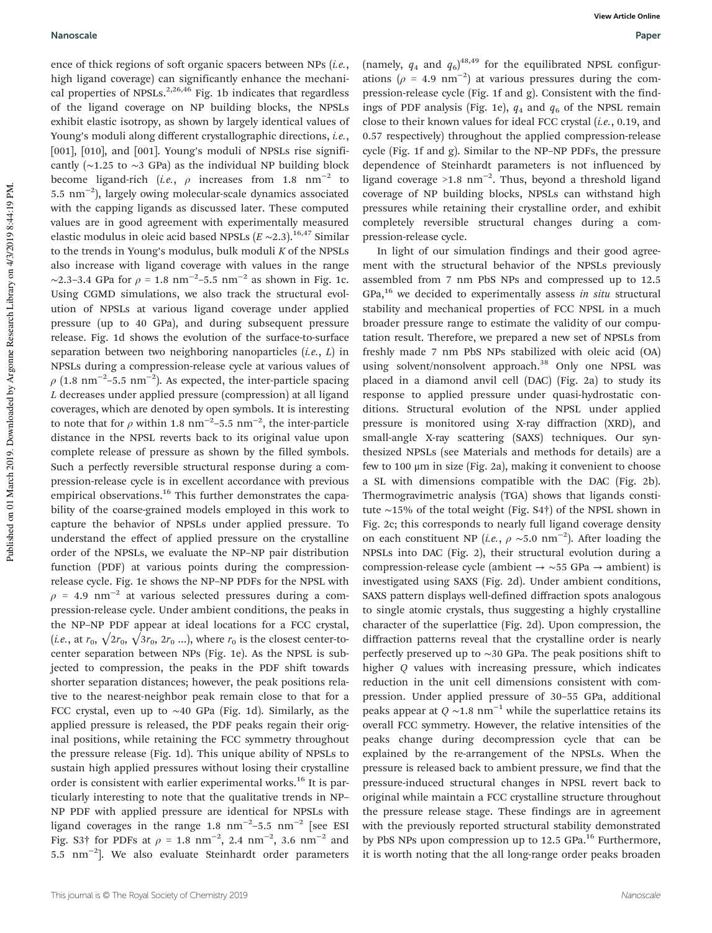#### Nanoscale Paper

ence of thick regions of soft organic spacers between NPs (*i.e.*, high ligand coverage) can significantly enhance the mechanical properties of NPSLs. $2,26,46$  Fig. 1b indicates that regardless of the ligand coverage on NP building blocks, the NPSLs exhibit elastic isotropy, as shown by largely identical values of Young's moduli along different crystallographic directions, *i.e.*, [001], [010], and [001]. Young's moduli of NPSLs rise significantly (∼1.25 to ∼3 GPa) as the individual NP building block become ligand-rich (*i.e.*,  $\rho$  increases from 1.8 nm<sup>-2</sup> to 5.5 nm−<sup>2</sup> ), largely owing molecular-scale dynamics associated with the capping ligands as discussed later. These computed values are in good agreement with experimentally measured elastic modulus in oleic acid based NPSLs (*E* ∼2.3).16,47 Similar to the trends in Young's modulus, bulk moduli *K* of the NPSLs also increase with ligand coverage with values in the range  $\sim$ 2.3–3.4 GPa for  $\rho = 1.8$  nm<sup>-2</sup>–5.5 nm<sup>-2</sup> as shown in Fig. 1c. Using CGMD simulations, we also track the structural evolution of NPSLs at various ligand coverage under applied pressure (up to 40 GPa), and during subsequent pressure release. Fig. 1d shows the evolution of the surface-to-surface separation between two neighboring nanoparticles (*i.e.*, *L*) in NPSLs during a compression-release cycle at various values of  $\rho$  (1.8 nm<sup>-2</sup>-5.5 nm<sup>-2</sup>). As expected, the inter-particle spacing *L* decreases under applied pressure (compression) at all ligand coverages, which are denoted by open symbols. It is interesting to note that for  $\rho$  within 1.8 nm<sup>-2</sup>-5.5 nm<sup>-2</sup>, the inter-particle distance in the NPSL reverts back to its original value upon complete release of pressure as shown by the filled symbols. Such a perfectly reversible structural response during a compression-release cycle is in excellent accordance with previous empirical observations.<sup>16</sup> This further demonstrates the capability of the coarse-grained models employed in this work to capture the behavior of NPSLs under applied pressure. To understand the effect of applied pressure on the crystalline order of the NPSLs, we evaluate the NP–NP pair distribution function (PDF) at various points during the compressionrelease cycle. Fig. 1e shows the NP–NP PDFs for the NPSL with  $\rho$  = 4.9 nm<sup>-2</sup> at various selected pressures during a compression-release cycle. Under ambient conditions, the peaks in the NP–NP PDF appear at ideal locations for a FCC crystal, (*i.e.*, at  $r_0$ ,  $\sqrt{2r_0}$ ,  $\sqrt{3r_0}$ ,  $2r_0$  ...), where  $r_0$  is the closest center-tocenter separation between NPs (Fig. 1e). As the NPSL is subjected to compression, the peaks in the PDF shift towards shorter separation distances; however, the peak positions relative to the nearest-neighbor peak remain close to that for a FCC crystal, even up to ∼40 GPa (Fig. 1d). Similarly, as the applied pressure is released, the PDF peaks regain their original positions, while retaining the FCC symmetry throughout the pressure release (Fig. 1d). This unique ability of NPSLs to sustain high applied pressures without losing their crystalline order is consistent with earlier experimental works.<sup>16</sup> It is particularly interesting to note that the qualitative trends in NP– NP PDF with applied pressure are identical for NPSLs with ligand coverages in the range 1.8  $\text{nm}^{-2}$ -5.5  $\text{nm}^{-2}$  [see ESI Fig. S3† for PDFs at  $\rho = 1.8 \text{ nm}^{-2}$ , 2.4  $\text{nm}^{-2}$ , 3.6  $\text{nm}^{-2}$  and 5.5 nm−<sup>2</sup> ]. We also evaluate Steinhardt order parameters

(namely,  $q_4$  and  $q_6$ )<sup>48,49</sup> for the equilibrated NPSL configurations ( $\rho = 4.9$  nm<sup>-2</sup>) at various pressures during the compression-release cycle (Fig. 1f and g). Consistent with the findings of PDF analysis (Fig. 1e),  $q_4$  and  $q_6$  of the NPSL remain close to their known values for ideal FCC crystal (*i.e.*, 0.19, and 0.57 respectively) throughout the applied compression-release cycle (Fig. 1f and g). Similar to the NP–NP PDFs, the pressure dependence of Steinhardt parameters is not influenced by ligand coverage >1.8  $nm^{-2}$ . Thus, beyond a threshold ligand coverage of NP building blocks, NPSLs can withstand high pressures while retaining their crystalline order, and exhibit completely reversible structural changes during a compression-release cycle.

In light of our simulation findings and their good agreement with the structural behavior of the NPSLs previously assembled from 7 nm PbS NPs and compressed up to 12.5 GPa,<sup>16</sup> we decided to experimentally assess *in situ* structural stability and mechanical properties of FCC NPSL in a much broader pressure range to estimate the validity of our computation result. Therefore, we prepared a new set of NPSLs from freshly made 7 nm PbS NPs stabilized with oleic acid (OA) using solvent/nonsolvent approach.<sup>38</sup> Only one NPSL was placed in a diamond anvil cell (DAC) (Fig. 2a) to study its response to applied pressure under quasi-hydrostatic conditions. Structural evolution of the NPSL under applied pressure is monitored using X-ray diffraction (XRD), and small-angle X-ray scattering (SAXS) techniques. Our synthesized NPSLs (see Materials and methods for details) are a few to 100 μm in size (Fig. 2a), making it convenient to choose a SL with dimensions compatible with the DAC (Fig. 2b). Thermogravimetric analysis (TGA) shows that ligands constitute ∼15% of the total weight (Fig. S4†) of the NPSL shown in Fig. 2c; this corresponds to nearly full ligand coverage density on each constituent NP (*i.e.*,  $\rho \sim 5.0 \text{ nm}^{-2}$ ). After loading the NPSLs into DAC (Fig. 2), their structural evolution during a compression-release cycle (ambient → ∼55 GPa → ambient) is investigated using SAXS (Fig. 2d). Under ambient conditions, SAXS pattern displays well-defined diffraction spots analogous to single atomic crystals, thus suggesting a highly crystalline character of the superlattice (Fig. 2d). Upon compression, the diffraction patterns reveal that the crystalline order is nearly perfectly preserved up to ∼30 GPa. The peak positions shift to higher *Q* values with increasing pressure, which indicates reduction in the unit cell dimensions consistent with compression. Under applied pressure of 30–55 GPa, additional peaks appear at  $Q \sim 1.8$  nm<sup>-1</sup> while the superlattice retains its overall FCC symmetry. However, the relative intensities of the peaks change during decompression cycle that can be explained by the re-arrangement of the NPSLs. When the pressure is released back to ambient pressure, we find that the pressure-induced structural changes in NPSL revert back to original while maintain a FCC crystalline structure throughout the pressure release stage. These findings are in agreement with the previously reported structural stability demonstrated by PbS NPs upon compression up to  $12.5$  GPa.<sup>16</sup> Furthermore, it is worth noting that the all long-range order peaks broaden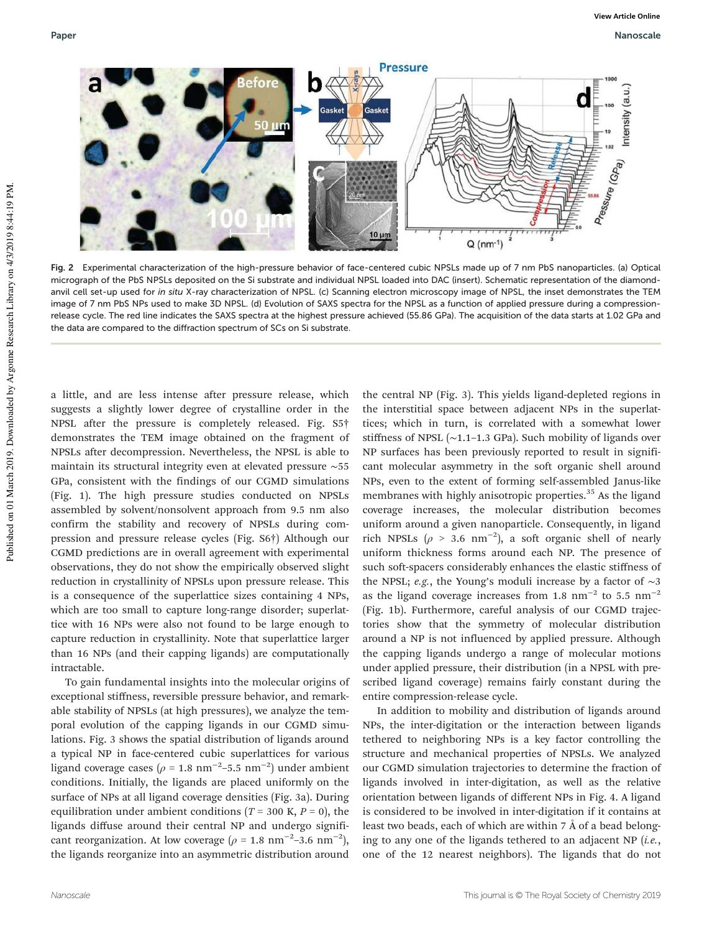

Fig. 2 Experimental characterization of the high-pressure behavior of face-centered cubic NPSLs made up of 7 nm PbS nanoparticles. (a) Optical micrograph of the PbS NPSLs deposited on the Si substrate and individual NPSL loaded into DAC (insert). Schematic representation of the diamondanvil cell set-up used for in situ X-ray characterization of NPSL. (c) Scanning electron microscopy image of NPSL, the inset demonstrates the TEM image of 7 nm PbS NPs used to make 3D NPSL. (d) Evolution of SAXS spectra for the NPSL as a function of applied pressure during a compressionrelease cycle. The red line indicates the SAXS spectra at the highest pressure achieved (55.86 GPa). The acquisition of the data starts at 1.02 GPa and the data are compared to the diffraction spectrum of SCs on Si substrate.

a little, and are less intense after pressure release, which suggests a slightly lower degree of crystalline order in the NPSL after the pressure is completely released. Fig. S5† demonstrates the TEM image obtained on the fragment of NPSLs after decompression. Nevertheless, the NPSL is able to maintain its structural integrity even at elevated pressure ∼55 GPa, consistent with the findings of our CGMD simulations (Fig. 1). The high pressure studies conducted on NPSLs assembled by solvent/nonsolvent approach from 9.5 nm also confirm the stability and recovery of NPSLs during compression and pressure release cycles (Fig. S6†) Although our CGMD predictions are in overall agreement with experimental observations, they do not show the empirically observed slight reduction in crystallinity of NPSLs upon pressure release. This is a consequence of the superlattice sizes containing 4 NPs, which are too small to capture long-range disorder; superlattice with 16 NPs were also not found to be large enough to capture reduction in crystallinity. Note that superlattice larger than 16 NPs (and their capping ligands) are computationally intractable.

To gain fundamental insights into the molecular origins of exceptional stiffness, reversible pressure behavior, and remarkable stability of NPSLs (at high pressures), we analyze the temporal evolution of the capping ligands in our CGMD simulations. Fig. 3 shows the spatial distribution of ligands around a typical NP in face-centered cubic superlattices for various ligand coverage cases ( $\rho$  = 1.8 nm<sup>-2</sup>-5.5 nm<sup>-2</sup>) under ambient conditions. Initially, the ligands are placed uniformly on the surface of NPs at all ligand coverage densities (Fig. 3a). During equilibration under ambient conditions ( $T = 300$  K,  $P = 0$ ), the ligands diffuse around their central NP and undergo significant reorganization. At low coverage ( $\rho = 1.8$  nm<sup>-2</sup>-3.6 nm<sup>-2</sup>), the ligands reorganize into an asymmetric distribution around

the central NP (Fig. 3). This yields ligand-depleted regions in the interstitial space between adjacent NPs in the superlattices; which in turn, is correlated with a somewhat lower stiffness of NPSL (∼1.1–1.3 GPa). Such mobility of ligands over NP surfaces has been previously reported to result in significant molecular asymmetry in the soft organic shell around NPs, even to the extent of forming self-assembled Janus-like membranes with highly anisotropic properties.<sup>35</sup> As the ligand coverage increases, the molecular distribution becomes uniform around a given nanoparticle. Consequently, in ligand rich NPSLs ( $\rho > 3.6$  nm<sup>-2</sup>), a soft organic shell of nearly uniform thickness forms around each NP. The presence of such soft-spacers considerably enhances the elastic stiffness of the NPSL; *e.g.*, the Young's moduli increase by a factor of ∼3 as the ligand coverage increases from 1.8  $\text{nm}^{-2}$  to 5.5  $\text{nm}^{-2}$ (Fig. 1b). Furthermore, careful analysis of our CGMD trajectories show that the symmetry of molecular distribution around a NP is not influenced by applied pressure. Although the capping ligands undergo a range of molecular motions under applied pressure, their distribution (in a NPSL with prescribed ligand coverage) remains fairly constant during the entire compression-release cycle.

In addition to mobility and distribution of ligands around NPs, the inter-digitation or the interaction between ligands tethered to neighboring NPs is a key factor controlling the structure and mechanical properties of NPSLs. We analyzed our CGMD simulation trajectories to determine the fraction of ligands involved in inter-digitation, as well as the relative orientation between ligands of different NPs in Fig. 4. A ligand is considered to be involved in inter-digitation if it contains at least two beads, each of which are within 7 Å of a bead belonging to any one of the ligands tethered to an adjacent NP (*i.e.*, one of the 12 nearest neighbors). The ligands that do not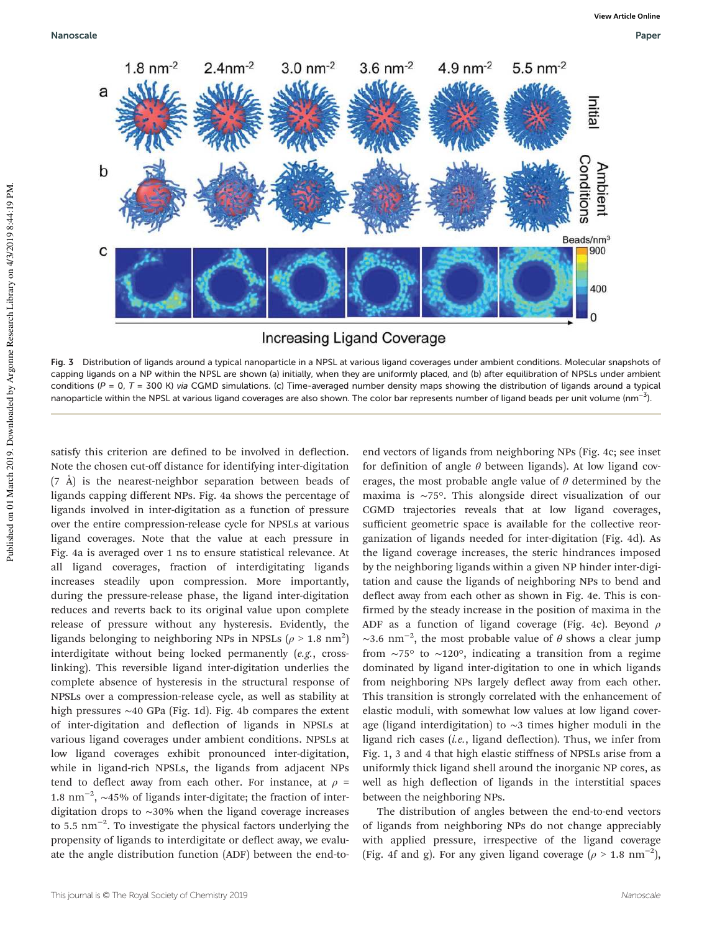

Fig. 3 Distribution of ligands around a typical nanoparticle in a NPSL at various ligand coverages under ambient conditions. Molecular snapshots of capping ligands on a NP within the NPSL are shown (a) initially, when they are uniformly placed, and (b) after equilibration of NPSLs under ambient conditions ( $P = 0$ ,  $T = 300$  K) via CGMD simulations. (c) Time-averaged number density maps showing the distribution of ligands around a typical nanoparticle within the NPSL at various ligand coverages are also shown. The color bar represents number of ligand beads per unit volume (nm<sup>−3</sup>).

satisfy this criterion are defined to be involved in deflection. Note the chosen cut-off distance for identifying inter-digitation (7 Å) is the nearest-neighbor separation between beads of ligands capping different NPs. Fig. 4a shows the percentage of ligands involved in inter-digitation as a function of pressure over the entire compression-release cycle for NPSLs at various ligand coverages. Note that the value at each pressure in Fig. 4a is averaged over 1 ns to ensure statistical relevance. At all ligand coverages, fraction of interdigitating ligands increases steadily upon compression. More importantly, during the pressure-release phase, the ligand inter-digitation reduces and reverts back to its original value upon complete release of pressure without any hysteresis. Evidently, the ligands belonging to neighboring NPs in NPSLs ( $\rho > 1.8$  nm<sup>2</sup>) interdigitate without being locked permanently (*e.g.*, crosslinking). This reversible ligand inter-digitation underlies the complete absence of hysteresis in the structural response of NPSLs over a compression-release cycle, as well as stability at high pressures ∼40 GPa (Fig. 1d). Fig. 4b compares the extent of inter-digitation and deflection of ligands in NPSLs at various ligand coverages under ambient conditions. NPSLs at low ligand coverages exhibit pronounced inter-digitation, while in ligand-rich NPSLs, the ligands from adjacent NPs tend to deflect away from each other. For instance, at  $\rho =$ 1.8 nm−<sup>2</sup> , ∼45% of ligands inter-digitate; the fraction of interdigitation drops to ∼30% when the ligand coverage increases to 5.5 nm<sup>-2</sup>. To investigate the physical factors underlying the propensity of ligands to interdigitate or deflect away, we evaluate the angle distribution function (ADF) between the end-toend vectors of ligands from neighboring NPs (Fig. 4c; see inset for definition of angle  $\theta$  between ligands). At low ligand coverages, the most probable angle value of  $\theta$  determined by the maxima is ∼75°. This alongside direct visualization of our CGMD trajectories reveals that at low ligand coverages, sufficient geometric space is available for the collective reorganization of ligands needed for inter-digitation (Fig. 4d). As the ligand coverage increases, the steric hindrances imposed by the neighboring ligands within a given NP hinder inter-digitation and cause the ligands of neighboring NPs to bend and deflect away from each other as shown in Fig. 4e. This is confirmed by the steady increase in the position of maxima in the ADF as a function of ligand coverage (Fig. 4c). Beyond  $\rho$ ~3.6 nm<sup>-2</sup>, the most probable value of  $\theta$  shows a clear jump from ∼75° to ∼120°, indicating a transition from a regime dominated by ligand inter-digitation to one in which ligands from neighboring NPs largely deflect away from each other. This transition is strongly correlated with the enhancement of elastic moduli, with somewhat low values at low ligand coverage (ligand interdigitation) to ∼3 times higher moduli in the ligand rich cases (*i.e.*, ligand deflection). Thus, we infer from Fig. 1, 3 and 4 that high elastic stiffness of NPSLs arise from a uniformly thick ligand shell around the inorganic NP cores, as well as high deflection of ligands in the interstitial spaces between the neighboring NPs.

The distribution of angles between the end-to-end vectors of ligands from neighboring NPs do not change appreciably with applied pressure, irrespective of the ligand coverage (Fig. 4f and g). For any given ligand coverage ( $\rho > 1.8$  nm<sup>-2</sup>),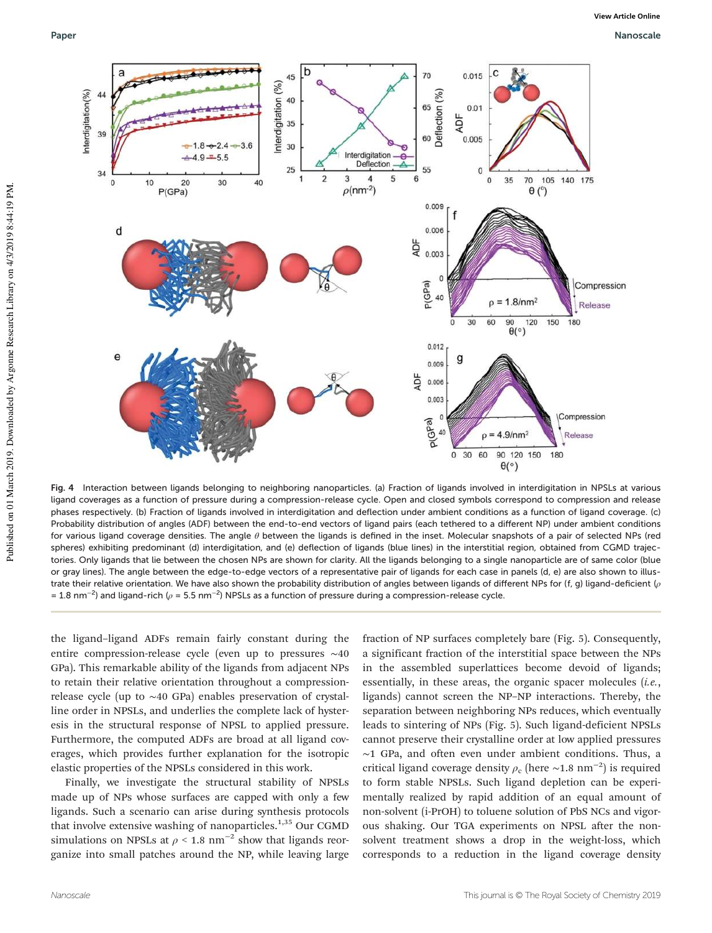

Fig. 4 Interaction between ligands belonging to neighboring nanoparticles. (a) Fraction of ligands involved in interdigitation in NPSLs at various ligand coverages as a function of pressure during a compression-release cycle. Open and closed symbols correspond to compression and release phases respectively. (b) Fraction of ligands involved in interdigitation and deflection under ambient conditions as a function of ligand coverage. (c) Probability distribution of angles (ADF) between the end-to-end vectors of ligand pairs (each tethered to a different NP) under ambient conditions for various ligand coverage densities. The angle  $\theta$  between the ligands is defined in the inset. Molecular snapshots of a pair of selected NPs (red spheres) exhibiting predominant (d) interdigitation, and (e) deflection of ligands (blue lines) in the interstitial region, obtained from CGMD trajectories. Only ligands that lie between the chosen NPs are shown for clarity. All the ligands belonging to a single nanoparticle are of same color (blue or gray lines). The angle between the edge-to-edge vectors of a representative pair of ligands for each case in panels (d, e) are also shown to illustrate their relative orientation. We have also shown the probability distribution of angles between ligands of different NPs for (f, g) ligand-deficient (ρ = 1.8 nm<sup>−2</sup>) and ligand-rich ( $\rho$  = 5.5 nm<sup>−2</sup>) NPSLs as a function of pressure during a compression-release cycle.

the ligand–ligand ADFs remain fairly constant during the entire compression-release cycle (even up to pressures ∼40 GPa). This remarkable ability of the ligands from adjacent NPs to retain their relative orientation throughout a compressionrelease cycle (up to ∼40 GPa) enables preservation of crystalline order in NPSLs, and underlies the complete lack of hysteresis in the structural response of NPSL to applied pressure. Furthermore, the computed ADFs are broad at all ligand coverages, which provides further explanation for the isotropic elastic properties of the NPSLs considered in this work.

Finally, we investigate the structural stability of NPSLs made up of NPs whose surfaces are capped with only a few ligands. Such a scenario can arise during synthesis protocols that involve extensive washing of nanoparticles. $1,35$  Our CGMD simulations on NPSLs at  $\rho$  < 1.8 nm<sup>-2</sup> show that ligands reorganize into small patches around the NP, while leaving large fraction of NP surfaces completely bare (Fig. 5). Consequently, a significant fraction of the interstitial space between the NPs in the assembled superlattices become devoid of ligands; essentially, in these areas, the organic spacer molecules (*i.e.*, ligands) cannot screen the NP–NP interactions. Thereby, the separation between neighboring NPs reduces, which eventually leads to sintering of NPs (Fig. 5). Such ligand-deficient NPSLs cannot preserve their crystalline order at low applied pressures ∼1 GPa, and often even under ambient conditions. Thus, a critical ligand coverage density  $\rho_c$  (here ~1.8 nm<sup>-2</sup>) is required to form stable NPSLs. Such ligand depletion can be experimentally realized by rapid addition of an equal amount of non-solvent (i-PrOH) to toluene solution of PbS NCs and vigorous shaking. Our TGA experiments on NPSL after the nonsolvent treatment shows a drop in the weight-loss, which corresponds to a reduction in the ligand coverage density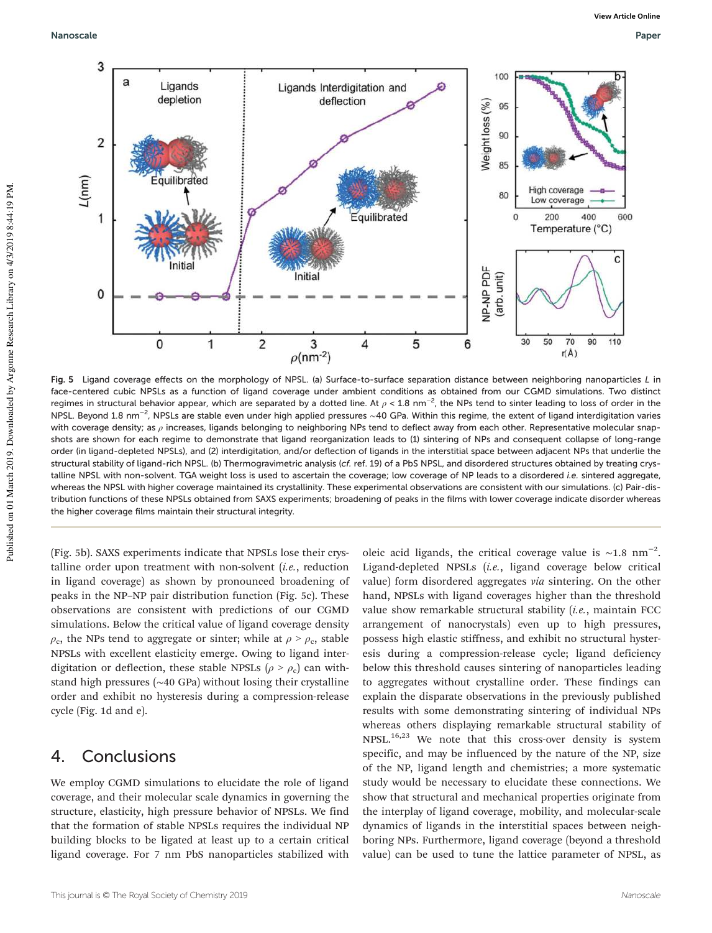Nanoscale Paper



Fig. 5 Ligand coverage effects on the morphology of NPSL. (a) Surface-to-surface separation distance between neighboring nanoparticles L in face-centered cubic NPSLs as a function of ligand coverage under ambient conditions as obtained from our CGMD simulations. Two distinct regimes in structural behavior appear, which are separated by a dotted line. At  $\rho$  < 1.8 nm<sup>−2</sup>, the NPs tend to sinter leading to loss of order in the NPSL. Beyond 1.8 nm<sup>−2</sup>, NPSLs are stable even under high applied pressures ~40 GPa. Within this regime, the extent of ligand interdigitation varies with coverage density; as ρ increases, ligands belonging to neighboring NPs tend to deflect away from each other. Representative molecular snapshots are shown for each regime to demonstrate that ligand reorganization leads to (1) sintering of NPs and consequent collapse of long-range order (in ligand-depleted NPSLs), and (2) interdigitation, and/or deflection of ligands in the interstitial space between adjacent NPs that underlie the structural stability of ligand-rich NPSL. (b) Thermogravimetric analysis (cf. ref. 19) of a PbS NPSL, and disordered structures obtained by treating crystalline NPSL with non-solvent. TGA weight loss is used to ascertain the coverage; low coverage of NP leads to a disordered i.e. sintered aggregate, whereas the NPSL with higher coverage maintained its crystallinity. These experimental observations are consistent with our simulations. (c) Pair-distribution functions of these NPSLs obtained from SAXS experiments; broadening of peaks in the films with lower coverage indicate disorder whereas the higher coverage films maintain their structural integrity.

(Fig. 5b). SAXS experiments indicate that NPSLs lose their crystalline order upon treatment with non-solvent (*i.e.*, reduction in ligand coverage) as shown by pronounced broadening of peaks in the NP–NP pair distribution function (Fig. 5c). These observations are consistent with predictions of our CGMD simulations. Below the critical value of ligand coverage density  $\rho_{\rm c}$ , the NPs tend to aggregate or sinter; while at  $\rho > \rho_{\rm c}$ , stable NPSLs with excellent elasticity emerge. Owing to ligand interdigitation or deflection, these stable NPSLs ( $\rho > \rho_c$ ) can withstand high pressures (∼40 GPa) without losing their crystalline order and exhibit no hysteresis during a compression-release cycle (Fig. 1d and e).

# 4. Conclusions

We employ CGMD simulations to elucidate the role of ligand coverage, and their molecular scale dynamics in governing the structure, elasticity, high pressure behavior of NPSLs. We find that the formation of stable NPSLs requires the individual NP building blocks to be ligated at least up to a certain critical ligand coverage. For 7 nm PbS nanoparticles stabilized with

oleic acid ligands, the critical coverage value is  $\sim$ 1.8 nm<sup>-2</sup>. Ligand-depleted NPSLs (*i.e.*, ligand coverage below critical value) form disordered aggregates *via* sintering. On the other hand, NPSLs with ligand coverages higher than the threshold value show remarkable structural stability (*i.e.*, maintain FCC arrangement of nanocrystals) even up to high pressures, possess high elastic stiffness, and exhibit no structural hysteresis during a compression-release cycle; ligand deficiency below this threshold causes sintering of nanoparticles leading to aggregates without crystalline order. These findings can explain the disparate observations in the previously published results with some demonstrating sintering of individual NPs whereas others displaying remarkable structural stability of NPSL.16,23 We note that this cross-over density is system specific, and may be influenced by the nature of the NP, size of the NP, ligand length and chemistries; a more systematic study would be necessary to elucidate these connections. We show that structural and mechanical properties originate from the interplay of ligand coverage, mobility, and molecular-scale dynamics of ligands in the interstitial spaces between neighboring NPs. Furthermore, ligand coverage (beyond a threshold value) can be used to tune the lattice parameter of NPSL, as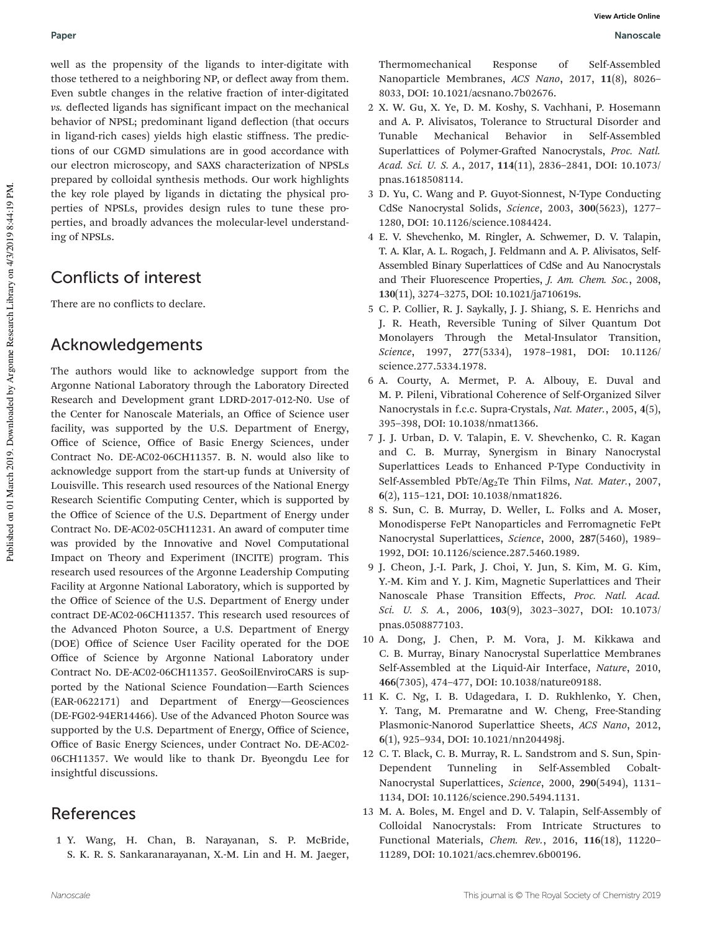well as the propensity of the ligands to inter-digitate with those tethered to a neighboring NP, or deflect away from them. Even subtle changes in the relative fraction of inter-digitated *vs.* deflected ligands has significant impact on the mechanical behavior of NPSL; predominant ligand deflection (that occurs in ligand-rich cases) yields high elastic stiffness. The predictions of our CGMD simulations are in good accordance with our electron microscopy, and SAXS characterization of NPSLs prepared by colloidal synthesis methods. Our work highlights the key role played by ligands in dictating the physical properties of NPSLs, provides design rules to tune these properties, and broadly advances the molecular-level understanding of NPSLs.

# Conflicts of interest

There are no conflicts to declare.

### Acknowledgements

The authors would like to acknowledge support from the Argonne National Laboratory through the Laboratory Directed Research and Development grant LDRD-2017-012-N0. Use of the Center for Nanoscale Materials, an Office of Science user facility, was supported by the U.S. Department of Energy, Office of Science, Office of Basic Energy Sciences, under Contract No. DE-AC02-06CH11357. B. N. would also like to acknowledge support from the start-up funds at University of Louisville. This research used resources of the National Energy Research Scientific Computing Center, which is supported by the Office of Science of the U.S. Department of Energy under Contract No. DE-AC02-05CH11231. An award of computer time was provided by the Innovative and Novel Computational Impact on Theory and Experiment (INCITE) program. This research used resources of the Argonne Leadership Computing Facility at Argonne National Laboratory, which is supported by the Office of Science of the U.S. Department of Energy under contract DE-AC02-06CH11357. This research used resources of the Advanced Photon Source, a U.S. Department of Energy (DOE) Office of Science User Facility operated for the DOE Office of Science by Argonne National Laboratory under Contract No. DE-AC02-06CH11357. GeoSoilEnviroCARS is supported by the National Science Foundation—Earth Sciences (EAR-0622171) and Department of Energy—Geosciences (DE-FG02-94ER14466). Use of the Advanced Photon Source was supported by the U.S. Department of Energy, Office of Science, Office of Basic Energy Sciences, under Contract No. DE-AC02- 06CH11357. We would like to thank Dr. Byeongdu Lee for insightful discussions.

## References

1 Y. Wang, H. Chan, B. Narayanan, S. P. McBride, S. K. R. S. Sankaranarayanan, X.-M. Lin and H. M. Jaeger, Thermomechanical Response of Self-Assembled Nanoparticle Membranes, *ACS Nano*, 2017, 11(8), 8026– 8033, DOI: 10.1021/acsnano.7b02676.

- 2 X. W. Gu, X. Ye, D. M. Koshy, S. Vachhani, P. Hosemann and A. P. Alivisatos, Tolerance to Structural Disorder and Tunable Mechanical Behavior in Self-Assembled Superlattices of Polymer-Grafted Nanocrystals, *Proc. Natl. Acad. Sci. U. S. A.*, 2017, 114(11), 2836–2841, DOI: 10.1073/ pnas.1618508114.
- 3 D. Yu, C. Wang and P. Guyot-Sionnest, N-Type Conducting CdSe Nanocrystal Solids, *Science*, 2003, 300(5623), 1277– 1280, DOI: 10.1126/science.1084424.
- 4 E. V. Shevchenko, M. Ringler, A. Schwemer, D. V. Talapin, T. A. Klar, A. L. Rogach, J. Feldmann and A. P. Alivisatos, Self-Assembled Binary Superlattices of CdSe and Au Nanocrystals and Their Fluorescence Properties, *J. Am. Chem. Soc.*, 2008, 130(11), 3274–3275, DOI: 10.1021/ja710619s.
- 5 C. P. Collier, R. J. Saykally, J. J. Shiang, S. E. Henrichs and J. R. Heath, Reversible Tuning of Silver Quantum Dot Monolayers Through the Metal-Insulator Transition, *Science*, 1997, 277(5334), 1978–1981, DOI: 10.1126/ science.277.5334.1978.
- 6 A. Courty, A. Mermet, P. A. Albouy, E. Duval and M. P. Pileni, Vibrational Coherence of Self-Organized Silver Nanocrystals in f.c.c. Supra-Crystals, *Nat. Mater.*, 2005, 4(5), 395–398, DOI: 10.1038/nmat1366.
- 7 J. J. Urban, D. V. Talapin, E. V. Shevchenko, C. R. Kagan and C. B. Murray, Synergism in Binary Nanocrystal Superlattices Leads to Enhanced P-Type Conductivity in Self-Assembled PbTe/Ag<sub>2</sub>Te Thin Films, *Nat. Mater.*, 2007, 6(2), 115–121, DOI: 10.1038/nmat1826.
- 8 S. Sun, C. B. Murray, D. Weller, L. Folks and A. Moser, Monodisperse FePt Nanoparticles and Ferromagnetic FePt Nanocrystal Superlattices, *Science*, 2000, 287(5460), 1989– 1992, DOI: 10.1126/science.287.5460.1989.
- 9 J. Cheon, J.-I. Park, J. Choi, Y. Jun, S. Kim, M. G. Kim, Y.-M. Kim and Y. J. Kim, Magnetic Superlattices and Their Nanoscale Phase Transition Effects, *Proc. Natl. Acad. Sci. U. S. A.*, 2006, 103(9), 3023–3027, DOI: 10.1073/ pnas.0508877103.
- 10 A. Dong, J. Chen, P. M. Vora, J. M. Kikkawa and C. B. Murray, Binary Nanocrystal Superlattice Membranes Self-Assembled at the Liquid-Air Interface, *Nature*, 2010, 466(7305), 474–477, DOI: 10.1038/nature09188.
- 11 K. C. Ng, I. B. Udagedara, I. D. Rukhlenko, Y. Chen, Y. Tang, M. Premaratne and W. Cheng, Free-Standing Plasmonic-Nanorod Superlattice Sheets, *ACS Nano*, 2012, 6(1), 925–934, DOI: 10.1021/nn204498j.
- 12 C. T. Black, C. B. Murray, R. L. Sandstrom and S. Sun, Spin-Dependent Tunneling in Self-Assembled Cobalt-Nanocrystal Superlattices, *Science*, 2000, 290(5494), 1131– 1134, DOI: 10.1126/science.290.5494.1131.
- 13 M. A. Boles, M. Engel and D. V. Talapin, Self-Assembly of Colloidal Nanocrystals: From Intricate Structures to Functional Materials, *Chem. Rev.*, 2016, 116(18), 11220– 11289, DOI: 10.1021/acs.chemrev.6b00196.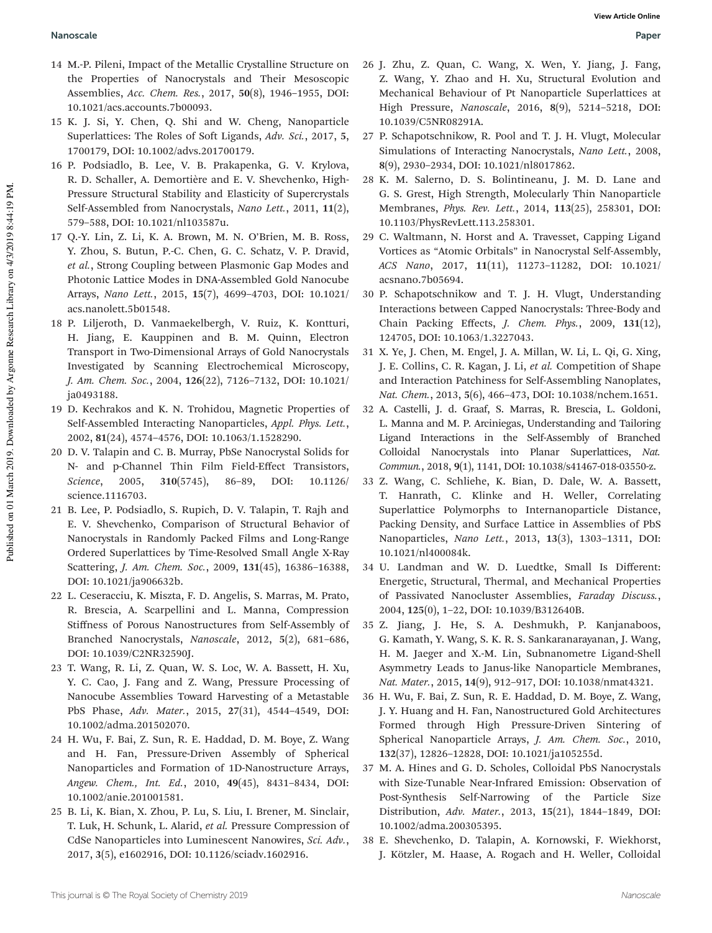- 14 M.-P. Pileni, Impact of the Metallic Crystalline Structure on the Properties of Nanocrystals and Their Mesoscopic Assemblies, *Acc. Chem. Res.*, 2017, 50(8), 1946–1955, DOI: 10.1021/acs.accounts.7b00093.
- 15 K. J. Si, Y. Chen, Q. Shi and W. Cheng, Nanoparticle Superlattices: The Roles of Soft Ligands, *Adv. Sci.*, 2017, 5, 1700179, DOI: 10.1002/advs.201700179.
- 16 P. Podsiadlo, B. Lee, V. B. Prakapenka, G. V. Krylova, R. D. Schaller, A. Demortière and E. V. Shevchenko, High-Pressure Structural Stability and Elasticity of Supercrystals Self-Assembled from Nanocrystals, *Nano Lett.*, 2011, 11(2), 579–588, DOI: 10.1021/nl103587u.
- 17 Q.-Y. Lin, Z. Li, K. A. Brown, M. N. O'Brien, M. B. Ross, Y. Zhou, S. Butun, P.-C. Chen, G. C. Schatz, V. P. Dravid, *et al.*, Strong Coupling between Plasmonic Gap Modes and Photonic Lattice Modes in DNA-Assembled Gold Nanocube Arrays, *Nano Lett.*, 2015, 15(7), 4699–4703, DOI: 10.1021/ acs.nanolett.5b01548.
- 18 P. Liljeroth, D. Vanmaekelbergh, V. Ruiz, K. Kontturi, H. Jiang, E. Kauppinen and B. M. Quinn, Electron Transport in Two-Dimensional Arrays of Gold Nanocrystals Investigated by Scanning Electrochemical Microscopy, *J. Am. Chem. Soc.*, 2004, 126(22), 7126–7132, DOI: 10.1021/ ja0493188.
- 19 D. Kechrakos and K. N. Trohidou, Magnetic Properties of Self-Assembled Interacting Nanoparticles, *Appl. Phys. Lett.*, 2002, 81(24), 4574–4576, DOI: 10.1063/1.1528290.
- 20 D. V. Talapin and C. B. Murray, PbSe Nanocrystal Solids for N- and p-Channel Thin Film Field-Effect Transistors, *Science*, 2005, 310(5745), 86–89, DOI: 10.1126/ science.1116703.
- 21 B. Lee, P. Podsiadlo, S. Rupich, D. V. Talapin, T. Rajh and E. V. Shevchenko, Comparison of Structural Behavior of Nanocrystals in Randomly Packed Films and Long-Range Ordered Superlattices by Time-Resolved Small Angle X-Ray Scattering, *J. Am. Chem. Soc.*, 2009, 131(45), 16386–16388, DOI: 10.1021/ja906632b.
- 22 L. Ceseracciu, K. Miszta, F. D. Angelis, S. Marras, M. Prato, R. Brescia, A. Scarpellini and L. Manna, Compression Stiffness of Porous Nanostructures from Self-Assembly of Branched Nanocrystals, *Nanoscale*, 2012, 5(2), 681–686, DOI: 10.1039/C2NR32590J.
- 23 T. Wang, R. Li, Z. Quan, W. S. Loc, W. A. Bassett, H. Xu, Y. C. Cao, J. Fang and Z. Wang, Pressure Processing of Nanocube Assemblies Toward Harvesting of a Metastable PbS Phase, *Adv. Mater.*, 2015, 27(31), 4544–4549, DOI: 10.1002/adma.201502070.
- 24 H. Wu, F. Bai, Z. Sun, R. E. Haddad, D. M. Boye, Z. Wang and H. Fan, Pressure-Driven Assembly of Spherical Nanoparticles and Formation of 1D-Nanostructure Arrays, *Angew. Chem., Int. Ed.*, 2010, 49(45), 8431–8434, DOI: 10.1002/anie.201001581.
- 25 B. Li, K. Bian, X. Zhou, P. Lu, S. Liu, I. Brener, M. Sinclair, T. Luk, H. Schunk, L. Alarid, *et al.* Pressure Compression of CdSe Nanoparticles into Luminescent Nanowires, *Sci. Adv.*, 2017, 3(5), e1602916, DOI: 10.1126/sciadv.1602916.
- 26 J. Zhu, Z. Quan, C. Wang, X. Wen, Y. Jiang, J. Fang, Z. Wang, Y. Zhao and H. Xu, Structural Evolution and Mechanical Behaviour of Pt Nanoparticle Superlattices at High Pressure, *Nanoscale*, 2016, 8(9), 5214–5218, DOI: 10.1039/C5NR08291A.
- 27 P. Schapotschnikow, R. Pool and T. J. H. Vlugt, Molecular Simulations of Interacting Nanocrystals, *Nano Lett.*, 2008, 8(9), 2930–2934, DOI: 10.1021/nl8017862.
- 28 K. M. Salerno, D. S. Bolintineanu, J. M. D. Lane and G. S. Grest, High Strength, Molecularly Thin Nanoparticle Membranes, *Phys. Rev. Lett.*, 2014, 113(25), 258301, DOI: 10.1103/PhysRevLett.113.258301.
- 29 C. Waltmann, N. Horst and A. Travesset, Capping Ligand Vortices as "Atomic Orbitals" in Nanocrystal Self-Assembly, *ACS Nano*, 2017, 11(11), 11273–11282, DOI: 10.1021/ acsnano.7b05694.
- 30 P. Schapotschnikow and T. J. H. Vlugt, Understanding Interactions between Capped Nanocrystals: Three-Body and Chain Packing Effects, *J. Chem. Phys.*, 2009, 131(12), 124705, DOI: 10.1063/1.3227043.
- 31 X. Ye, J. Chen, M. Engel, J. A. Millan, W. Li, L. Qi, G. Xing, J. E. Collins, C. R. Kagan, J. Li, *et al.* Competition of Shape and Interaction Patchiness for Self-Assembling Nanoplates, *Nat. Chem.*, 2013, 5(6), 466–473, DOI: 10.1038/nchem.1651.
- 32 A. Castelli, J. d. Graaf, S. Marras, R. Brescia, L. Goldoni, L. Manna and M. P. Arciniegas, Understanding and Tailoring Ligand Interactions in the Self-Assembly of Branched Colloidal Nanocrystals into Planar Superlattices, *Nat. Commun.*, 2018, 9(1), 1141, DOI: 10.1038/s41467-018-03550-z.
- 33 Z. Wang, C. Schliehe, K. Bian, D. Dale, W. A. Bassett, T. Hanrath, C. Klinke and H. Weller, Correlating Superlattice Polymorphs to Internanoparticle Distance, Packing Density, and Surface Lattice in Assemblies of PbS Nanoparticles, *Nano Lett.*, 2013, 13(3), 1303–1311, DOI: 10.1021/nl400084k.
- 34 U. Landman and W. D. Luedtke, Small Is Different: Energetic, Structural, Thermal, and Mechanical Properties of Passivated Nanocluster Assemblies, *Faraday Discuss.*, 2004, 125(0), 1–22, DOI: 10.1039/B312640B.
- 35 Z. Jiang, J. He, S. A. Deshmukh, P. Kanjanaboos, G. Kamath, Y. Wang, S. K. R. S. Sankaranarayanan, J. Wang, H. M. Jaeger and X.-M. Lin, Subnanometre Ligand-Shell Asymmetry Leads to Janus-like Nanoparticle Membranes, *Nat. Mater.*, 2015, 14(9), 912–917, DOI: 10.1038/nmat4321.
- 36 H. Wu, F. Bai, Z. Sun, R. E. Haddad, D. M. Boye, Z. Wang, J. Y. Huang and H. Fan, Nanostructured Gold Architectures Formed through High Pressure-Driven Sintering of Spherical Nanoparticle Arrays, *J. Am. Chem. Soc.*, 2010, 132(37), 12826–12828, DOI: 10.1021/ja105255d.
- 37 M. A. Hines and G. D. Scholes, Colloidal PbS Nanocrystals with Size-Tunable Near-Infrared Emission: Observation of Post-Synthesis Self-Narrowing of the Particle Size Distribution, *Adv. Mater.*, 2013, 15(21), 1844–1849, DOI: 10.1002/adma.200305395.
- 38 E. Shevchenko, D. Talapin, A. Kornowski, F. Wiekhorst, J. Kötzler, M. Haase, A. Rogach and H. Weller, Colloidal